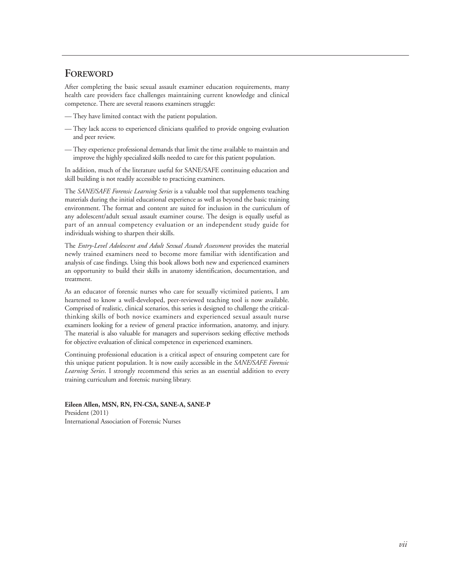### **FOREWORD**

After completing the basic sexual assault examiner education requirements, many health care providers face challenges maintaining current knowledge and clinical competence. There are several reasons examiners struggle:

- They have limited contact with the patient population.
- They lack access to experienced clinicians qualified to provide ongoing evaluation and peer review.
- They experience professional demands that limit the time available to maintain and improve the highly specialized skills needed to care for this patient population.

In addition, much of the literature useful for SANE/SAFE continuing education and skill building is not readily accessible to practicing examiners.

The *SANE/SAFE Forensic Learning Series* is a valuable tool that supplements teaching materials during the initial educational experience as well as beyond the basic training environment. The format and content are suited for inclusion in the curriculum of any adolescent/adult sexual assault examiner course. The design is equally useful as part of an annual competency evaluation or an independent study guide for individuals wishing to sharpen their skills.

The *Entry-Level Adolescent and Adult Sexual Assault Assessment* provides the material newly trained examiners need to become more familiar with identification and analysis of case findings. Using this book allows both new and experienced examiners an opportunity to build their skills in anatomy identification, documentation, and treatment.

As an educator of forensic nurses who care for sexually victimized patients, I am heartened to know a well-developed, peer-reviewed teaching tool is now available. Comprised of realistic, clinical scenarios, this series is designed to challenge the criticalthinking skills of both novice examiners and experienced sexual assault nurse examiners looking for a review of general practice information, anatomy, and injury. The material is also valuable for managers and supervisors seeking effective methods for objective evaluation of clinical competence in experienced examiners.

Continuing professional education is a critical aspect of ensuring competent care for this unique patient population. It is now easily accessible in the *SANE/SAFE Forensic Learning Series*. I strongly recommend this series as an essential addition to every training curriculum and forensic nursing library.

**Eileen Allen, MSN, RN, FN-CSA, SANE-A, SANE-P** President (2011) International Association of Forensic Nurses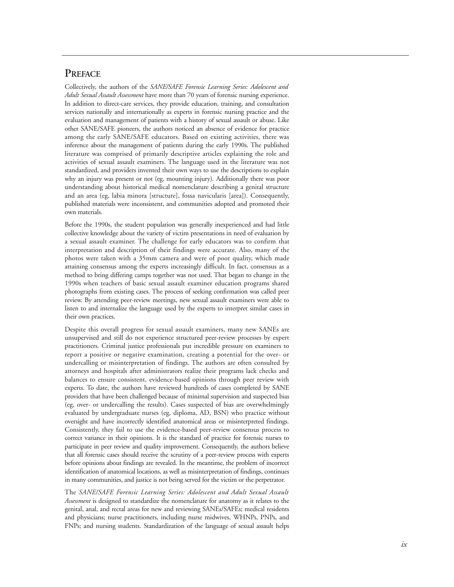### **PREFACE**

Collectively, the authors of the *SANE/SAFE Forensic Learning Series: Adolescent and Adult Sexual Assault Assessment* have more than 70 years of forensic nursing experience. In addition to direct-care services, they provide education, training, and consultation services nationally and internationally as experts in forensic nursing practice and the evaluation and management of patients with a history of sexual assault or abuse. Like other SANE/SAFE pioneers, the authors noticed an absence of evidence for practice among the early SANE/SAFE educators. Based on existing activities, there was inference about the management of patients during the early 1990s. The published literature was comprised of primarily descriptive articles explaining the role and activities of sexual assault examiners. The language used in the literature was not standardized, and providers invented their own ways to use the descriptions to explain why an injury was present or not (eg, mounting injury). Additionally there was poor understanding about historical medical nomenclature describing a genital structure and an area (eg, labia minora [structure], fossa navicularis [area]). Consequently, published materials were inconsistent, and communities adopted and promoted their own materials.

Before the 1990s, the student population was generally inexperienced and had little collective knowledge about the variety of victim presentations in need of evaluation by a sexual assault examiner. The challenge for early educators was to confirm that interpretation and description of their findings were accurate. Also, many of the photos were taken with a 35mm camera and were of poor quality, which made attaining consensus among the experts increasingly difficult. In fact, consensus as a method to bring differing camps together was not used. That began to change in the 1990s when teachers of basic sexual assault examiner education programs shared photographs from existing cases. The process of seeking confirmation was called peer review. By attending peer-review meetings, new sexual assault examiners were able to listen to and internalize the language used by the experts to interpret similar cases in their own practices.

Despite this overall progress for sexual assault examiners, many new SANEs are unsupervised and still do not experience structured peer-review processes by expert practitioners. Criminal justice professionals put incredible pressure on examiners to report a positive or negative examination, creating a potential for the over- or undercalling or misinterpretation of findings. The authors are often consulted by attorneys and hospitals after administrators realize their programs lack checks and balances to ensure consistent, evidence-based opinions through peer review with experts. To date, the authors have reviewed hundreds of cases completed by SANE providers that have been challenged because of minimal supervision and suspected bias (eg, over- or undercalling the results). Cases suspected of bias are overwhelmingly evaluated by undergraduate nurses (eg, diploma, AD, BSN) who practice without oversight and have incorrectly identified anatomical areas or misinterpreted findings. Consistently, they fail to use the evidence-based peer-review consensus process to correct variance in their opinions. It is the standard of practice for forensic nurses to participate in peer review and quality improvement. Consequently, the authors believe that all forensic cases should receive the scrutiny of a peer-review process with experts before opinions about findings are revealed. In the meantime, the problem of incorrect identification of anatomical locations, as well as misinterpretation of findings, continues in many communities, and justice is not being served for the victim or the perpetrator.

The *SANE/SAFE Forensic Learning Series: Adolescent and Adult Sexual Assault Assessment* is designed to standardize the nomenclature for anatomy as it relates to the genital, anal, and rectal areas for new and reviewing SANEs/SAFEs; medical residents and physicians; nurse practitioners, including nurse midwives, WHNPs, PNPs, and FNPs; and nursing students. Standardization of the language of sexual assault helps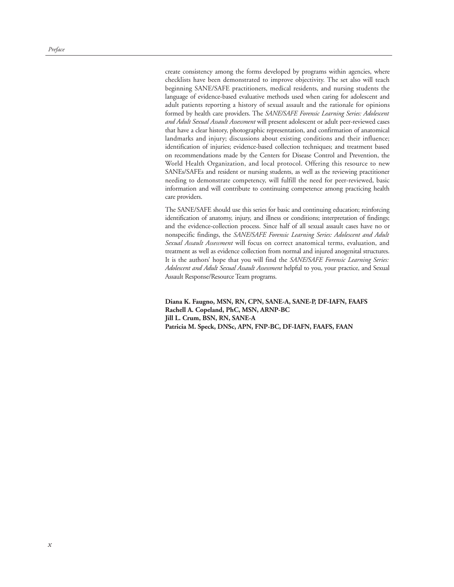create consistency among the forms developed by programs within agencies, where checklists have been demonstrated to improve objectivity. The set also will teach beginning SANE/SAFE practitioners, medical residents, and nursing students the language of evidence-based evaluative methods used when caring for adolescent and adult patients reporting a history of sexual assault and the rationale for opinions formed by health care providers. The *SANE/SAFE Forensic Learning Series: Adolescent and Adult Sexual Assault Assessment* will present adolescent or adult peer-reviewed cases that have a clear history, photographic representation, and confirmation of anatomical landmarks and injury; discussions about existing conditions and their influence; identification of injuries; evidence-based collection techniques; and treatment based on recommendations made by the Centers for Disease Control and Prevention, the World Health Organization, and local protocol. Offering this resource to new SANEs/SAFEs and resident or nursing students, as well as the reviewing practitioner needing to demonstrate competency, will fulfill the need for peer-reviewed, basic information and will contribute to continuing competence among practicing health care providers.

The SANE/SAFE should use this series for basic and continuing education; reinforcing identification of anatomy, injury, and illness or conditions; interpretation of findings; and the evidence-collection process. Since half of all sexual assault cases have no or nonspecific findings, the *SANE/SAFE Forensic Learning Series: Adolescent and Adult Sexual Assault Assessment* will focus on correct anatomical terms, evaluation, and treatment as well as evidence collection from normal and injured anogenital structures. It is the authors' hope that you will find the *SANE/SAFE Forensic Learning Series: Adolescent and Adult Sexual Assault Assessment* helpful to you, your practice, and Sexual Assault Response/Resource Team programs.

**Diana K. Faugno, MSN, RN, CPN, SANE-A, SANE-P, DF-IAFN, FAAFS Rachell A. Copeland, PhC, MSN, ARNP-BC Jill L. Crum, BSN, RN, SANE-A Patricia M. Speck, DNSc, APN, FNP-BC, DF-IAFN, FAAFS, FAAN**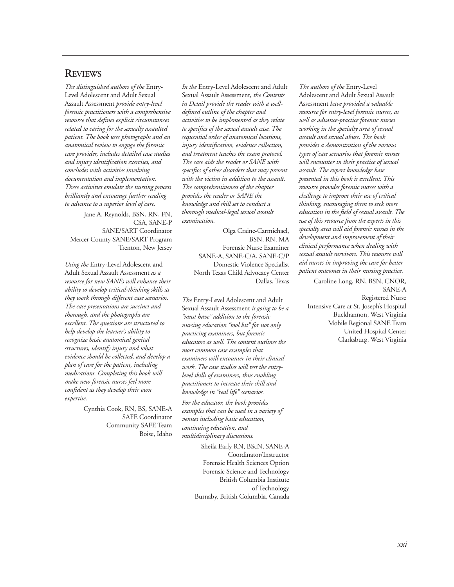### **REVIEWS**

*The distinguished authors of the* Entry-Level Adolescent and Adult Sexual Assault Assessment *provide entry-level forensic practitioners with a comprehensive resource that defines explicit circumstances related to caring for the sexually assaulted patient. The book uses photographs and an anatomical review to engage the forensic care provider, includes detailed case studies and injury identification exercises, and concludes with activities involving documentation and implementation. These activities emulate the nursing process brilliantly and encourage further reading to advance to a superior level of care.*

Jane A. Reynolds, BSN, RN, FN, CSA, SANE-P SANE/SART Coordinator Mercer County SANE/SART Program Trenton, New Jersey

*Using the* Entry-Level Adolescent and Adult Sexual Assault Assessment *as a resource for new SANEs will enhance their ability to develop critical-thinking skills as they work through different case scenarios. The case presentations are succinct and thorough, and the photographs are excellent. The questions are structured to help develop the learner's ability to recognize basic anatomical genital structures, identify injury and what evidence should be collected, and develop a plan of care for the patient, including medications. Completing this book will make new forensic nurses feel more confident as they develop their own expertise.*

> Cynthia Cook, RN, BS, SANE-A SAFE Coordinator Community SAFE Team Boise, Idaho

*In the* Entry-Level Adolescent and Adult Sexual Assault Assessment*, the Contents in Detail provide the reader with a welldefined outline of the chapter and activities to be implemented as they relate to specifics of the sexual assault case. The sequential order of anatomical locations, injury identification, evidence collection, and treatment teaches the exam protocol. The case aids the reader or SANE with specifics of other disorders that may present with the victim in addition to the assault. The comprehensiveness of the chapter provides the reader or SANE the knowledge and skill set to conduct a thorough medical-legal sexual assault examination.* 

> Olga Craine-Carmichael, BSN, RN, MA Forensic Nurse Examiner SANE-A, SANE-C/A, SANE-C/P Domestic Violence Specialist North Texas Child Advocacy Center Dallas, Texas

*The* Entry-Level Adolescent and Adult Sexual Assault Assessment *is going to be a "must have" addition to the forensic nursing education "tool kit" for not only practicing examiners, but forensic educators as well. The content outlines the most common case examples that examiners will encounter in their clinical work. The case studies will test the entrylevel skills of examiners, thus enabling practitioners to increase their skill and knowledge in "real life" scenarios.* 

*For the educator, the book provides examples that can be used in a variety of venues including basic education, continuing education, and multidisciplinary discussions.*

> Sheila Early RN, BScN, SANE-A Coordinator/Instructor Forensic Health Sciences Option Forensic Science and Technology British Columbia Institute of Technology Burnaby, British Columbia, Canada

*The authors of the* Entry-Level Adolescent and Adult Sexual Assault Assessment *have provided a valuable resource for entry-level forensic nurses, as well as advance-practice forensic nurses working in the specialty area of sexual assault and sexual abuse. The book provides a demonstration of the various types of case scenarios that forensic nurses will encounter in their practice of sexual assault. The expert knowledge base presented in this book is excellent. This resource provides forensic nurses with a challenge to improve their use of critical thinking, encouraging them to seek more education in the field of sexual assault. The use of this resource from the experts in this specialty area will aid forensic nurses in the development and improvement of their clinical performance when dealing with sexual assault survivors. This resource will aid nurses in improving the care for better patient outcomes in their nursing practice.*

Caroline Long, RN, BSN, CNOR, SANE-A

Registered Nurse Intensive Care at St. Joseph's Hospital Buckhannon, West Virginia Mobile Regional SANE Team United Hospital Center Clarksburg, West Virginia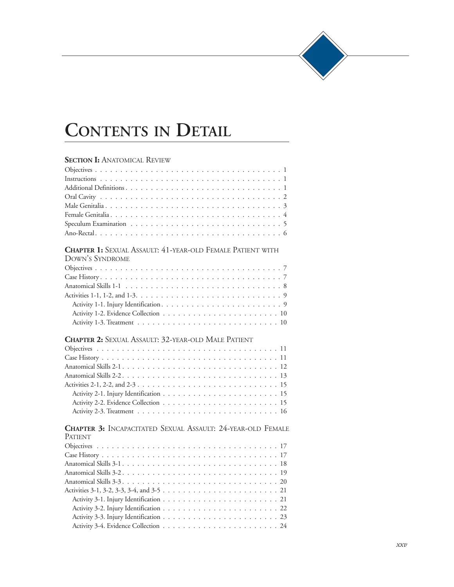# **CONTENTS IN DETAIL**

| <b>SECTION I:</b> ANATOMICAL REVIEW                               |  |
|-------------------------------------------------------------------|--|
|                                                                   |  |
|                                                                   |  |
|                                                                   |  |
|                                                                   |  |
|                                                                   |  |
|                                                                   |  |
|                                                                   |  |
|                                                                   |  |
| <b>CHAPTER 1:</b> SEXUAL ASSAULT: 41-YEAR-OLD FEMALE PATIENT WITH |  |
| DOWN'S SYNDROME                                                   |  |
|                                                                   |  |
|                                                                   |  |
|                                                                   |  |
|                                                                   |  |
|                                                                   |  |
|                                                                   |  |
|                                                                   |  |
| <b>CHAPTER 2: SEXUAL ASSAULT: 32-YEAR-OLD MALE PATIENT</b>        |  |
|                                                                   |  |
|                                                                   |  |
|                                                                   |  |
|                                                                   |  |
|                                                                   |  |
|                                                                   |  |
|                                                                   |  |
|                                                                   |  |
|                                                                   |  |
| CHAPTER 3: INCAPACITATED SEXUAL ASSAULT: 24-YEAR-OLD FEMALE       |  |
| PATIENT                                                           |  |
|                                                                   |  |
|                                                                   |  |
|                                                                   |  |
|                                                                   |  |
|                                                                   |  |
|                                                                   |  |
|                                                                   |  |
|                                                                   |  |
|                                                                   |  |
|                                                                   |  |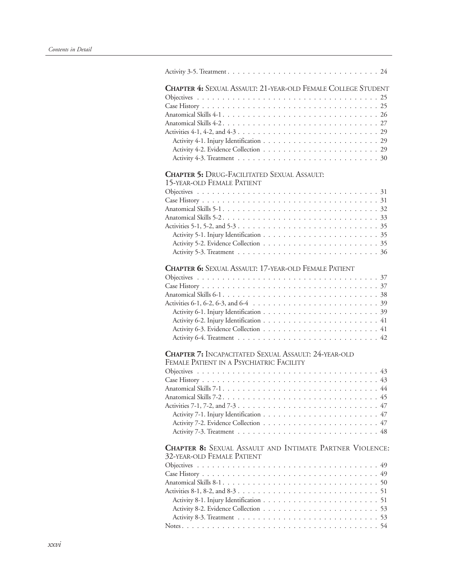| <b>CHAPTER 4: SEXUAL ASSAULT: 21-YEAR-OLD FEMALE COLLEGE STUDENT</b>                                    |
|---------------------------------------------------------------------------------------------------------|
| <b>CHAPTER 5: DRUG-FACILITATED SEXUAL ASSAULT:</b><br>15-YEAR-OLD FEMALE PATIENT                        |
| <b>CHAPTER 6:</b> SEXUAL ASSAULT: 17-YEAR-OLD FEMALE PATIENT                                            |
| <b>CHAPTER 7: INCAPACITATED SEXUAL ASSAULT: 24-YEAR-OLD</b><br>FEMALE PATIENT IN A PSYCHIATRIC FACILITY |
| <b>CHAPTER 8:</b> SEXUAL ASSAULT AND INTIMATE PARTNER VIOLENCE:<br>32-YEAR-OLD FEMALE PATIENT           |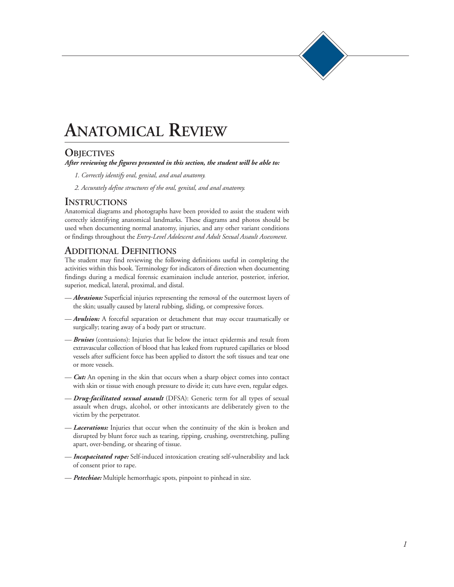# **ANATOMICAL REVIEW**

#### **OBJECTIVES**

*After reviewing the figures presented in this section, the student will be able to:*

- *1. Correctly identify oral, genital, and anal anatomy.*
- *2. Accurately define structures of the oral, genital, and anal anatomy.*

#### **INSTRUCTIONS**

Anatomical diagrams and photographs have been provided to assist the student with correctly identifying anatomical landmarks. These diagrams and photos should be used when documenting normal anatomy, injuries, and any other variant conditions or findings throughout the *Entry-Level Adolescent and Adult Sexual Assault Assessment*.

### **ADDITIONAL DEFINITIONS**

The student may find reviewing the following definitions useful in completing the activities within this book. Terminology for indicators of direction when documenting findings during a medical forensic examinaion include anterior, posterior, inferior, superior, medical, lateral, proximal, and distal.

- *Abrasions:* Superficial injuries representing the removal of the outermost layers of the skin; usually caused by lateral rubbing, sliding, or compressive forces.
- *Avulsion:* A forceful separation or detachment that may occur traumatically or surgically; tearing away of a body part or structure.
- *Bruises* (contusions): Injuries that lie below the intact epidermis and result from extravascular collection of blood that has leaked from ruptured capillaries or blood vessels after sufficient force has been applied to distort the soft tissues and tear one or more vessels.
- *Cut:* An opening in the skin that occurs when a sharp object comes into contact with skin or tissue with enough pressure to divide it; cuts have even, regular edges.
- *Drug-facilitated sexual assault* (DFSA): Generic term for all types of sexual assault when drugs, alcohol, or other intoxicants are deliberately given to the victim by the perpetrator.
- *Lacerations:* Injuries that occur when the continuity of the skin is broken and disrupted by blunt force such as tearing, ripping, crushing, overstretching, pulling apart, over-bending, or shearing of tissue.
- *Incapacitated rape:* Self-induced intoxication creating self-vulnerability and lack of consent prior to rape.
- *Petechiae:* Multiple hemorrhagic spots, pinpoint to pinhead in size.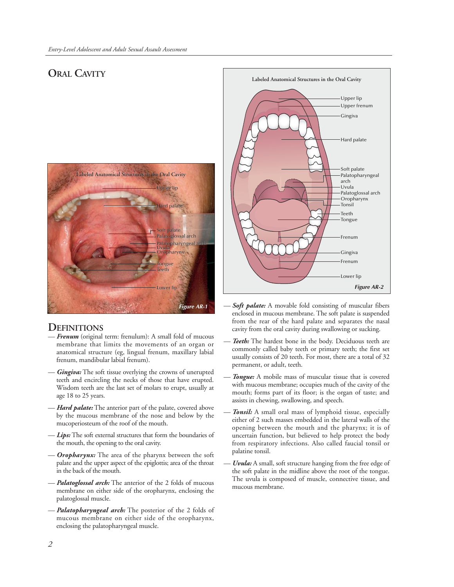# **ORAL CAVITY**



- **DEFINITIONS** *Frenum* (original term: frenulum): A small fold of mucous membrane that limits the movements of an organ or anatomical structure (eg, lingual frenum, maxillary labial frenum, mandibular labial frenum).
- *Gingiva:* The soft tissue overlying the crowns of unerupted teeth and encircling the necks of those that have erupted. Wisdom teeth are the last set of molars to erupt, usually at age 18 to 25 years.
- *Hard palate:* The anterior part of the palate, covered above by the mucous membrane of the nose and below by the mucoperiosteum of the roof of the mouth.
- *Lips:* The soft external structures that form the boundaries of the mouth, the opening to the oral cavity.
- *Oropharynx:* The area of the pharynx between the soft palate and the upper aspect of the epiglottis; area of the throat in the back of the mouth.
- *Palatoglossal arch:* The anterior of the 2 folds of mucous membrane on either side of the oropharynx, enclosing the palatoglossal muscle.
- *Palatopharyngeal arch:* The posterior of the 2 folds of mucous membrane on either side of the oropharynx, enclosing the palatopharyngeal muscle.



- Soft palate: A movable fold consisting of muscular fibers enclosed in mucous membrane. The soft palate is suspended from the rear of the hard palate and separates the nasal cavity from the oral cavity during swallowing or sucking.
- Teeth: The hardest bone in the body. Deciduous teeth are commonly called baby teeth or primary teeth; the first set usually consists of 20 teeth. For most, there are a total of 32 permanent, or adult, teeth.
- *Tongue:* A mobile mass of muscular tissue that is covered with mucous membrane; occupies much of the cavity of the mouth; forms part of its floor; is the organ of taste; and assists in chewing, swallowing, and speech.
- Tonsil: A small oral mass of lymphoid tissue, especially either of 2 such masses embedded in the lateral walls of the opening between the mouth and the pharynx; it is of uncertain function, but believed to help protect the body from respiratory infections. Also called faucial tonsil or palatine tonsil.
- *Uvula:* A small, soft structure hanging from the free edge of the soft palate in the midline above the root of the tongue. The uvula is composed of muscle, connective tissue, and mucous membrane.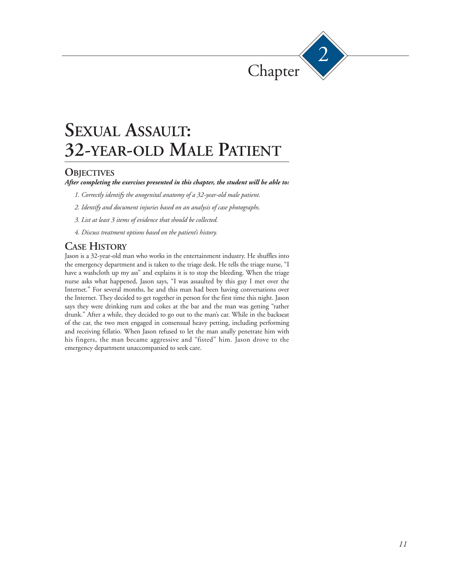

# **SEXUAL ASSAULT: 32-YEAR-OLD MALE PATIENT**

#### **OBJECTIVES**

#### *After completing the exercises presented in this chapter, the student will be able to:*

- *1. Correctly identify the anogenital anatomy of a 32-year-old male patient.*
- *2. Identify and document injuries based on an analysis of case photographs.*
- *3. List at least 3 items of evidence that should be collected.*
- *4. Discuss treatment options based on the patient's history.*

#### **CASE HISTORY**

Jason is a 32-year-old man who works in the entertainment industry. He shuffles into the emergency department and is taken to the triage desk. He tells the triage nurse, "I have a washcloth up my ass" and explains it is to stop the bleeding. When the triage nurse asks what happened, Jason says, "I was assaulted by this guy I met over the Internet." For several months, he and this man had been having conversations over the Internet. They decided to get together in person for the first time this night. Jason says they were drinking rum and cokes at the bar and the man was getting "rather drunk." After a while, they decided to go out to the man's car. While in the backseat of the car, the two men engaged in consensual heavy petting, including performing and receiving fellatio. When Jason refused to let the man anally penetrate him with his fingers, the man became aggressive and "fisted" him. Jason drove to the emergency department unaccompanied to seek care.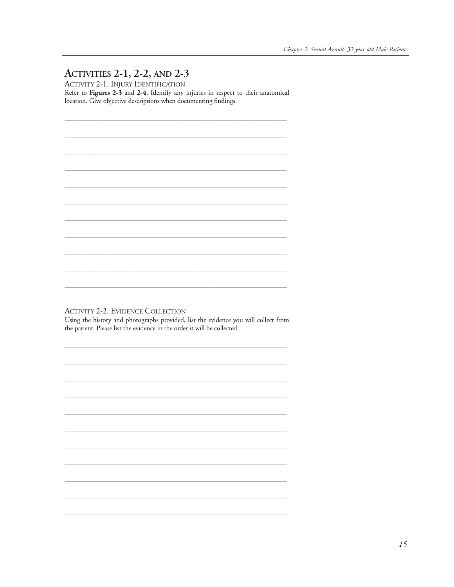# ACTIVITIES 2-1, 2-2, AND 2-3

**ACTIVITY 2-1. INJURY IDENTIFICATION** Refer to Figures 2-3 and 2-4. Identify any injuries in respect to their anatomical location. Give objective descriptions when documenting findings.

**ACTIVITY 2-2. EVIDENCE COLLECTION** 

Using the history and photographs provided, list the evidence you will collect from the patient. Please list the evidence in the order it will be collected.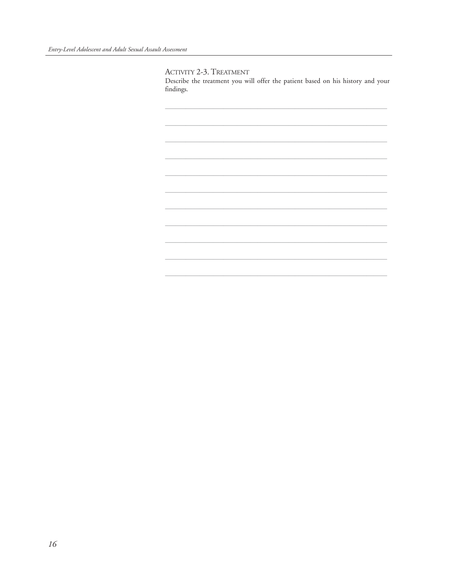#### ACTIVITY 2-3. TREATMENT

Describe the treatment you will offer the patient based on his history and your findings.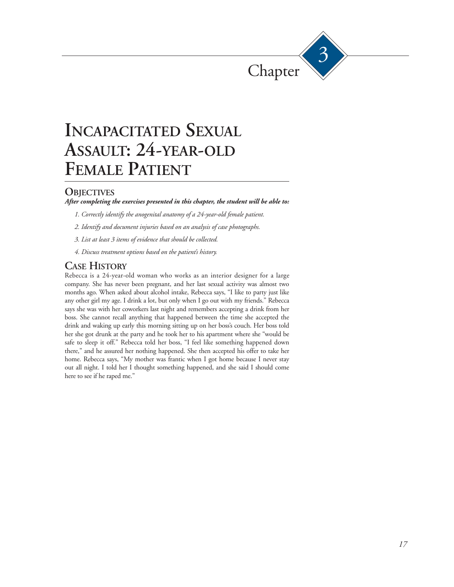

# **INCAPACITATED SEXUAL ASSAULT: 24-YEAR-OLD FEMALE PATIENT**

#### **OBJECTIVES**

*After completing the exercises presented in this chapter, the student will be able to:*

- *1. Correctly identify the anogenital anatomy of a 24-year-old female patient.*
- *2. Identify and document injuries based on an analysis of case photographs.*
- *3. List at least 3 items of evidence that should be collected.*
- *4. Discuss treatment options based on the patient's history.*

# **CASE HISTORY**

Rebecca is a 24-year-old woman who works as an interior designer for a large company. She has never been pregnant, and her last sexual activity was almost two months ago. When asked about alcohol intake, Rebecca says, "I like to party just like any other girl my age. I drink a lot, but only when I go out with my friends." Rebecca says she was with her coworkers last night and remembers accepting a drink from her boss. She cannot recall anything that happened between the time she accepted the drink and waking up early this morning sitting up on her boss's couch. Her boss told her she got drunk at the party and he took her to his apartment where she "would be safe to sleep it off." Rebecca told her boss, "I feel like something happened down there," and he assured her nothing happened. She then accepted his offer to take her home. Rebecca says, "My mother was frantic when I got home because I never stay out all night. I told her I thought something happened, and she said I should come here to see if he raped me."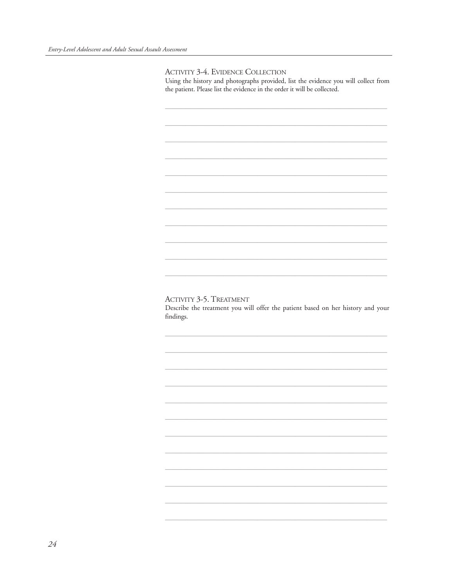#### **ACTIVITY 3-4. EVIDENCE COLLECTION**

Using the history and photographs provided, list the evidence you will collect from the patient. Please list the evidence in the order it will be collected.

**ACTIVITY 3-5. TREATMENT** 

Describe the treatment you will offer the patient based on her history and your findings.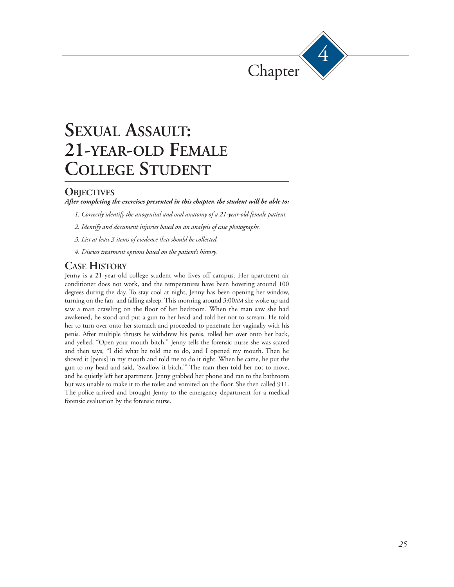

# **SEXUAL ASSAULT: 21-YEAR-OLD FEMALE COLLEGE STUDENT**

#### **OBJECTIVES**

*After completing the exercises presented in this chapter, the student will be able to:*

- *1. Correctly identify the anogenital and oral anatomy of a 21-year-old female patient.*
- *2. Identify and document injuries based on an analysis of case photographs.*
- *3. List at least 3 items of evidence that should be collected.*
- *4. Discuss treatment options based on the patient's history.*

#### **CASE HISTORY**

Jenny is a 21-year-old college student who lives off campus. Her apartment air conditioner does not work, and the temperatures have been hovering around 100 degrees during the day. To stay cool at night, Jenny has been opening her window, turning on the fan, and falling asleep. This morning around 3:00AM she woke up and saw a man crawling on the floor of her bedroom. When the man saw she had awakened, he stood and put a gun to her head and told her not to scream. He told her to turn over onto her stomach and proceeded to penetrate her vaginally with his penis. After multiple thrusts he withdrew his penis, rolled her over onto her back, and yelled, "Open your mouth bitch." Jenny tells the forensic nurse she was scared and then says, "I did what he told me to do, and I opened my mouth. Then he shoved it [penis] in my mouth and told me to do it right. When he came, he put the gun to my head and said, 'Swallow it bitch.'" The man then told her not to move, and he quietly left her apartment. Jenny grabbed her phone and ran to the bathroom but was unable to make it to the toilet and vomited on the floor. She then called 911. The police arrived and brought Jenny to the emergency department for a medical forensic evaluation by the forensic nurse.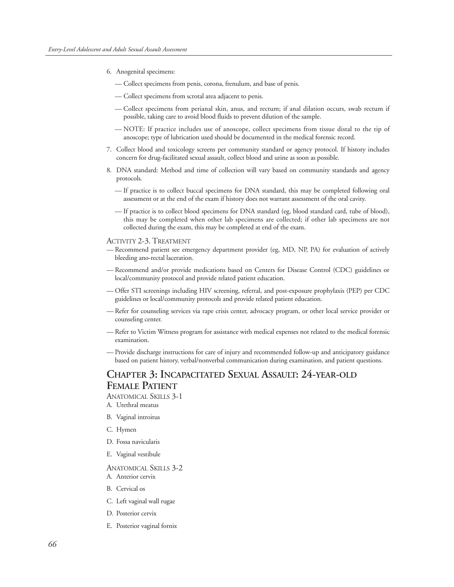- 6. Anogenital specimens:
	- Collect specimens from penis, corona, frenulum, and base of penis.
	- Collect specimens from scrotal area adjacent to penis.
	- Collect specimens from perianal skin, anus, and rectum; if anal dilation occurs, swab rectum if possible, taking care to avoid blood fluids to prevent dilution of the sample.
	- NOTE: If practice includes use of anoscope, collect specimens from tissue distal to the tip of anoscope; type of lubrication used should be documented in the medical forensic record.
- 7. Collect blood and toxicology screens per community standard or agency protocol. If history includes concern for drug-facilitated sexual assault, collect blood and urine as soon as possible.
- 8. DNA standard: Method and time of collection will vary based on community standards and agency protocols.
	- If practice is to collect buccal specimens for DNA standard, this may be completed following oral assessment or at the end of the exam if history does not warrant assessment of the oral cavity.
	- If practice is to collect blood specimens for DNA standard (eg, blood standard card, tube of blood), this may be completed when other lab specimens are collected; if other lab specimens are not collected during the exam, this may be completed at end of the exam.

ACTIVITY 2-3. TREATMENT

- Recommend patient see emergency department provider (eg, MD, NP, PA) for evaluation of actively bleeding ano-rectal laceration.
- Recommend and/or provide medications based on Centers for Disease Control (CDC) guidelines or local/community protocol and provide related patient education.
- Offer STI screenings including HIV screening, referral, and post-exposure prophylaxis (PEP) per CDC guidelines or local/community protocols and provide related patient education.
- Refer for counseling services via rape crisis center, advocacy program, or other local service provider or counseling center.
- Refer to Victim Witness program for assistance with medical expenses not related to the medical forensic examination.
- Provide discharge instructions for care of injury and recommended follow-up and anticipatory guidance based on patient history, verbal/nonverbal communication during examination, and patient questions.

## **CHAPTER 3: INCAPACITATED SEXUAL ASSAULT: 24-YEAR-OLD FEMALE PATIENT**

ANATOMICAL SKILLS 3-1

- A. Urethral meatus
- B. Vaginal introitus
- C. Hymen
- D. Fossa navicularis
- E. Vaginal vestibule

#### ANATOMICAL SKILLS 3-2

- A. Anterior cervix
- B. Cervical os
- C. Left vaginal wall rugae
- D. Posterior cervix
- E. Posterior vaginal fornix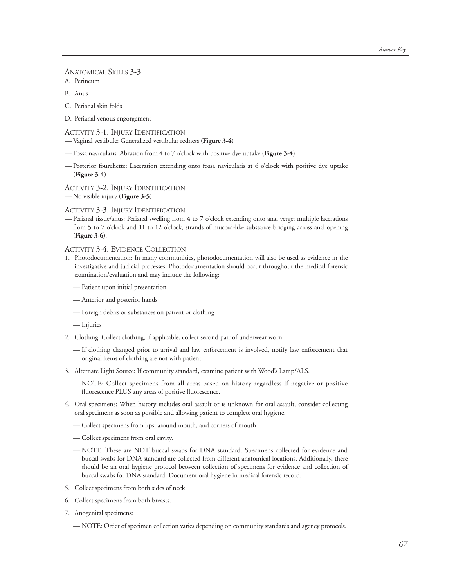#### ANATOMICAL SKILLS 3-3

- A. Perineum
- B. Anus
- C. Perianal skin folds
- D. Perianal venous engorgement

#### ACTIVITY 3-1. INJURY IDENTIFICATION

- Vaginal vestibule: Generalized vestibular redness (**Figure 3-4**)
- Fossa navicularis: Abrasion from 4 to 7 o'clock with positive dye uptake (**Figure 3-4**)
- Posterior fourchette: Laceration extending onto fossa navicularis at 6 o'clock with positive dye uptake (**Figure 3-4**)

#### ACTIVITY 3-2. INJURY IDENTIFICATION

— No visible injury (**Figure 3-5**)

#### ACTIVITY 3-3. INJURY IDENTIFICATION

— Perianal tissue/anus: Perianal swelling from 4 to 7 o'clock extending onto anal verge; multiple lacerations from 5 to 7 o'clock and 11 to 12 o'clock; strands of mucoid-like substance bridging across anal opening (**Figure 3-6**).

#### ACTIVITY 3-4. EVIDENCE COLLECTION

- 1. Photodocumentation: In many communities, photodocumentation will also be used as evidence in the investigative and judicial processes. Photodocumentation should occur throughout the medical forensic examination/evaluation and may include the following:
	- Patient upon initial presentation
	- Anterior and posterior hands
	- Foreign debris or substances on patient or clothing
	- Injuries
- 2. Clothing: Collect clothing; if applicable, collect second pair of underwear worn.
	- If clothing changed prior to arrival and law enforcement is involved, notify law enforcement that original items of clothing are not with patient.
- 3. Alternate Light Source: If community standard, examine patient with Wood's Lamp/ALS.
	- NOTE: Collect specimens from all areas based on history regardless if negative or positive fluorescence PLUS any areas of positive fluorescence.
- 4. Oral specimens: When history includes oral assault or is unknown for oral assault, consider collecting oral specimens as soon as possible and allowing patient to complete oral hygiene.
	- Collect specimens from lips, around mouth, and corners of mouth.
	- Collect specimens from oral cavity.
	- NOTE: These are NOT buccal swabs for DNA standard. Specimens collected for evidence and buccal swabs for DNA standard are collected from different anatomical locations. Additionally, there should be an oral hygiene protocol between collection of specimens for evidence and collection of buccal swabs for DNA standard. Document oral hygiene in medical forensic record.
- 5. Collect specimens from both sides of neck.
- 6. Collect specimens from both breasts.
- 7. Anogenital specimens:
	- NOTE: Order of specimen collection varies depending on community standards and agency protocols.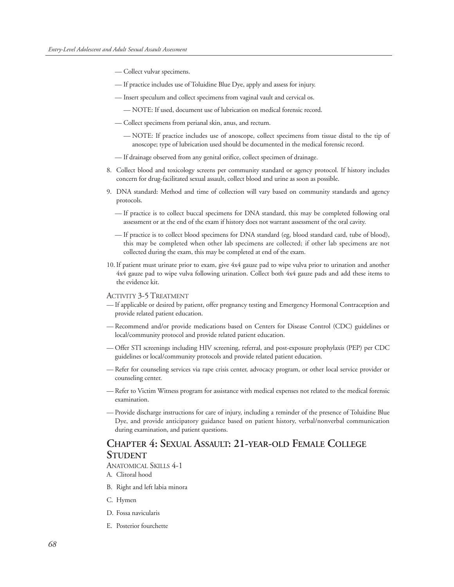- Collect vulvar specimens.
- If practice includes use of Toluidine Blue Dye, apply and assess for injury.
- Insert speculum and collect specimens from vaginal vault and cervical os.
	- NOTE: If used, document use of lubrication on medical forensic record.
- Collect specimens from perianal skin, anus, and rectum.
	- NOTE: If practice includes use of anoscope, collect specimens from tissue distal to the tip of anoscope; type of lubrication used should be documented in the medical forensic record.
- If drainage observed from any genital orifice, collect specimen of drainage.
- 8. Collect blood and toxicology screens per community standard or agency protocol. If history includes concern for drug-facilitated sexual assault, collect blood and urine as soon as possible.
- 9. DNA standard: Method and time of collection will vary based on community standards and agency protocols.
	- If practice is to collect buccal specimens for DNA standard, this may be completed following oral assessment or at the end of the exam if history does not warrant assessment of the oral cavity.
	- If practice is to collect blood specimens for DNA standard (eg, blood standard card, tube of blood), this may be completed when other lab specimens are collected; if other lab specimens are not collected during the exam, this may be completed at end of the exam.
- 10. If patient must urinate prior to exam, give 4x4 gauze pad to wipe vulva prior to urination and another 4x4 gauze pad to wipe vulva following urination. Collect both 4x4 gauze pads and add these items to the evidence kit.
- ACTIVITY 3-5 TREATMENT
- If applicable or desired by patient, offer pregnancy testing and Emergency Hormonal Contraception and provide related patient education.
- Recommend and/or provide medications based on Centers for Disease Control (CDC) guidelines or local/community protocol and provide related patient education.
- Offer STI screenings including HIV screening, referral, and post-exposure prophylaxis (PEP) per CDC guidelines or local/community protocols and provide related patient education.
- Refer for counseling services via rape crisis center, advocacy program, or other local service provider or counseling center.
- Refer to Victim Witness program for assistance with medical expenses not related to the medical forensic examination.
- Provide discharge instructions for care of injury, including a reminder of the presence of Toluidine Blue Dye, and provide anticipatory guidance based on patient history, verbal/nonverbal communication during examination, and patient questions.

### **CHAPTER 4: SEXUAL ASSAULT: 21-YEAR-OLD FEMALE COLLEGE STUDENT**

- ANATOMICAL SKILLS 4-1
- A. Clitoral hood
- B. Right and left labia minora
- C. Hymen
- D. Fossa navicularis
- E. Posterior fourchette